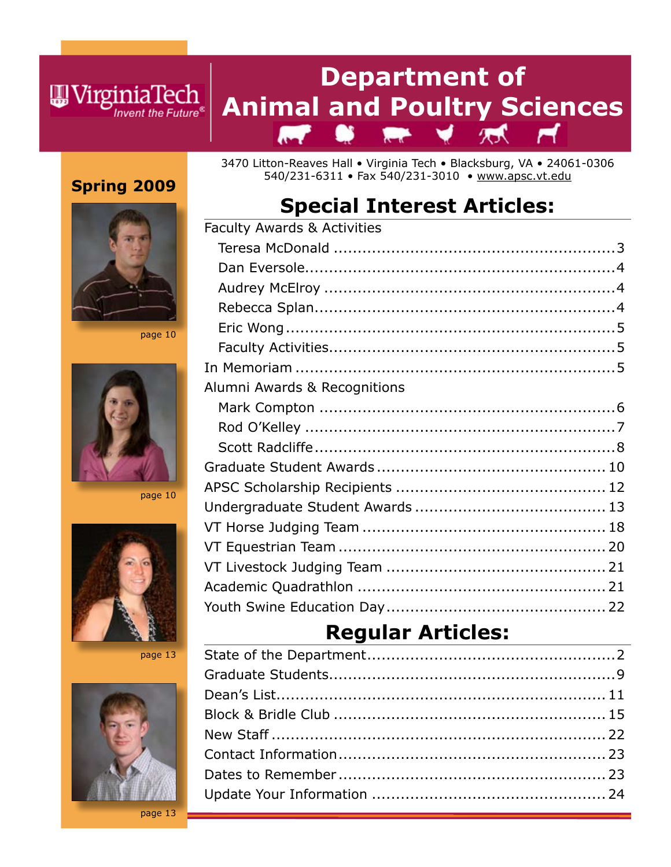### **Department of**  Animal and Poultry Sciences  $\mathbb{R}$   $\blacktriangleright$   $\blacktriangleright$   $\mathbb{R}$ Ħ

### **Spring 2009**

**W**VirginiaTech

Invent the Future®

3470 Litton-Reaves Hall • Virginia Tech • Blacksburg, VA • 24061-0306 540/231-6311 • Fax 540/231-3010 • www.apsc.vt.edu

## **Special Interest Articles:**



page 10



page 10



page 13



| <b>Faculty Awards &amp; Activities</b> |  |
|----------------------------------------|--|
|                                        |  |
|                                        |  |
|                                        |  |
|                                        |  |
|                                        |  |
|                                        |  |
|                                        |  |
| Alumni Awards & Recognitions           |  |
|                                        |  |
|                                        |  |
|                                        |  |
|                                        |  |
|                                        |  |
|                                        |  |
|                                        |  |
|                                        |  |
|                                        |  |
|                                        |  |
|                                        |  |
|                                        |  |

## **Regular Articles:**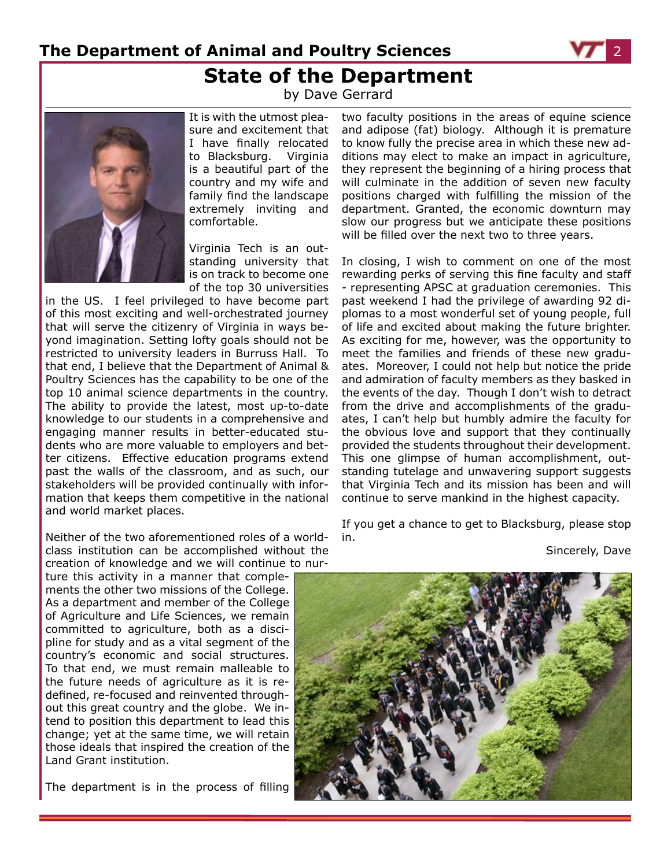**The Department of Animal and Poultry Sciences State of the Department**



### by Dave Gerrard



It is with the utmost pleasure and excitement that I have finally relocated to Blacksburg. Virginia is a beautiful part of the country and my wife and family find the landscape extremely inviting and comfortable.

Virginia Tech is an outstanding university that is on track to become one of the top 30 universities

in the US. I feel privileged to have become part of this most exciting and well-orchestrated journey that will serve the citizenry of Virginia in ways beyond imagination. Setting lofty goals should not be restricted to university leaders in Burruss Hall. To that end, I believe that the Department of Animal & Poultry Sciences has the capability to be one of the top 10 animal science departments in the country. The ability to provide the latest, most up-to-date knowledge to our students in a comprehensive and engaging manner results in better-educated students who are more valuable to employers and better citizens. Effective education programs extend past the walls of the classroom, and as such, our stakeholders will be provided continually with information that keeps them competitive in the national and world market places.

Neither of the two aforementioned roles of a worldclass institution can be accomplished without the creation of knowledge and we will continue to nur-

ture this activity in a manner that complements the other two missions of the College. As a department and member of the College of Agriculture and Life Sciences, we remain committed to agriculture, both as a discipline for study and as a vital segment of the country's economic and social structures. To that end, we must remain malleable to the future needs of agriculture as it is redefined, re-focused and reinvented throughout this great country and the globe. We intend to position this department to lead this change; yet at the same time, we will retain those ideals that inspired the creation of the Land Grant institution.

The department is in the process of filling

two faculty positions in the areas of equine science and adipose (fat) biology. Although it is premature to know fully the precise area in which these new additions may elect to make an impact in agriculture, they represent the beginning of a hiring process that will culminate in the addition of seven new faculty positions charged with fulfilling the mission of the department. Granted, the economic downturn may slow our progress but we anticipate these positions will be filled over the next two to three years.

In closing, I wish to comment on one of the most rewarding perks of serving this fine faculty and staff - representing APSC at graduation ceremonies. This past weekend I had the privilege of awarding 92 diplomas to a most wonderful set of young people, full of life and excited about making the future brighter. As exciting for me, however, was the opportunity to meet the families and friends of these new graduates. Moreover, I could not help but notice the pride and admiration of faculty members as they basked in the events of the day. Though I don't wish to detract from the drive and accomplishments of the graduates, I can't help but humbly admire the faculty for the obvious love and support that they continually provided the students throughout their development. This one glimpse of human accomplishment, outstanding tutelage and unwavering support suggests that Virginia Tech and its mission has been and will continue to serve mankind in the highest capacity.

If you get a chance to get to Blacksburg, please stop in.

Sincerely, Dave

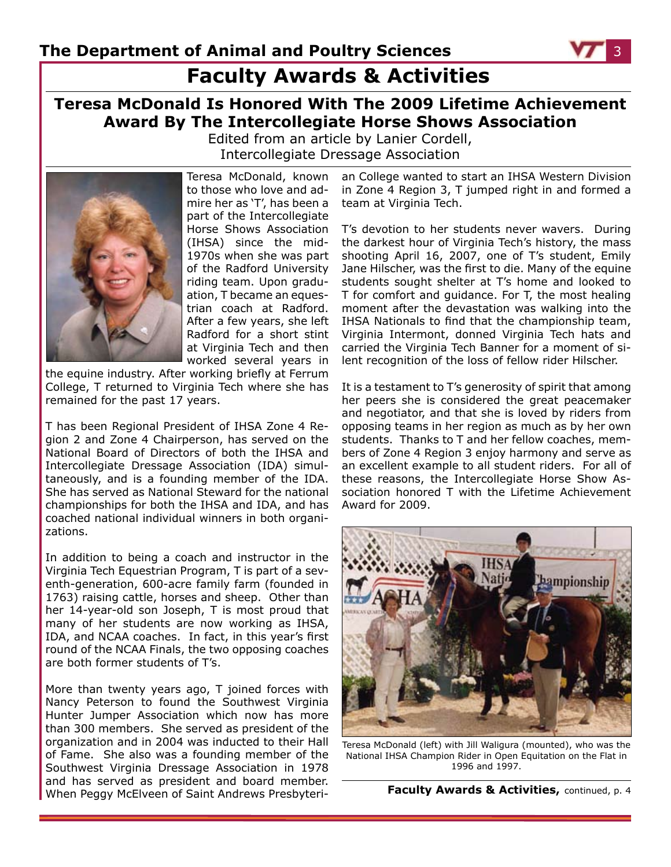

**Teresa McDonald Is Honored With The 2009 Lifetime Achievement Award By The Intercollegiate Horse Shows Association**

Edited from an article by Lanier Cordell, Intercollegiate Dressage Association



Teresa McDonald, known to those who love and admire her as 'T', has been a part of the Intercollegiate Horse Shows Association (IHSA) since the mid-1970s when she was part of the Radford University riding team. Upon graduation, T became an equestrian coach at Radford. After a few years, she left Radford for a short stint at Virginia Tech and then worked several years in

the equine industry. After working briefly at Ferrum College, T returned to Virginia Tech where she has remained for the past 17 years.

T has been Regional President of IHSA Zone 4 Region 2 and Zone 4 Chairperson, has served on the National Board of Directors of both the IHSA and Intercollegiate Dressage Association (IDA) simultaneously, and is a founding member of the IDA. She has served as National Steward for the national championships for both the IHSA and IDA, and has coached national individual winners in both organizations.

In addition to being a coach and instructor in the Virginia Tech Equestrian Program, T is part of a seventh-generation, 600-acre family farm (founded in 1763) raising cattle, horses and sheep. Other than her 14-year-old son Joseph, T is most proud that many of her students are now working as IHSA, IDA, and NCAA coaches. In fact, in this year's first round of the NCAA Finals, the two opposing coaches are both former students of T's.

More than twenty years ago, T joined forces with Nancy Peterson to found the Southwest Virginia Hunter Jumper Association which now has more than 300 members. She served as president of the organization and in 2004 was inducted to their Hall of Fame. She also was a founding member of the Southwest Virginia Dressage Association in 1978 and has served as president and board member. When Peggy McElveen of Saint Andrews Presbyteri-

an College wanted to start an IHSA Western Division in Zone 4 Region 3, T jumped right in and formed a team at Virginia Tech.

T's devotion to her students never wavers. During the darkest hour of Virginia Tech's history, the mass shooting April 16, 2007, one of T's student, Emily Jane Hilscher, was the first to die. Many of the equine students sought shelter at T's home and looked to T for comfort and guidance. For T, the most healing moment after the devastation was walking into the IHSA Nationals to find that the championship team, Virginia Intermont, donned Virginia Tech hats and carried the Virginia Tech Banner for a moment of silent recognition of the loss of fellow rider Hilscher.

It is a testament to T's generosity of spirit that among her peers she is considered the great peacemaker and negotiator, and that she is loved by riders from opposing teams in her region as much as by her own students. Thanks to T and her fellow coaches, members of Zone 4 Region 3 enjoy harmony and serve as an excellent example to all student riders. For all of these reasons, the Intercollegiate Horse Show Association honored T with the Lifetime Achievement Award for 2009.



Teresa McDonald (left) with Jill Waligura (mounted), who was the National IHSA Champion Rider in Open Equitation on the Flat in 1996 and 1997.

**Faculty Awards & Activities,** continued, p. 4

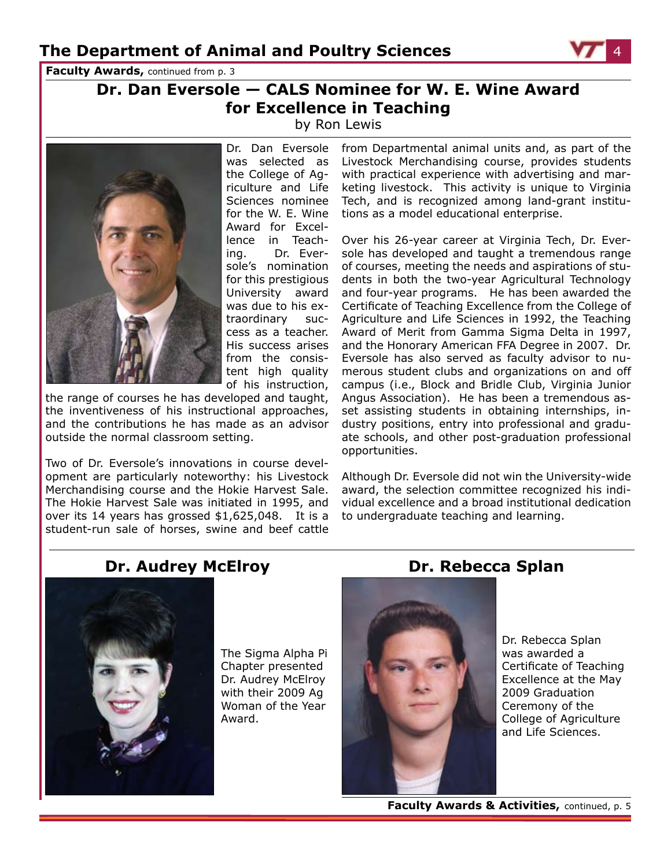**Faculty Awards, continued from p. 3** 

### **Dr. Dan Eversole — CALS Nominee for W. E. Wine Award for Excellence in Teaching**

by Ron Lewis



Dr. Dan Eversole was selected as the College of Agriculture and Life Sciences nominee Award for Excellence in Teaching. Dr. Eversole's nomination for this prestigious University award was due to his extraordinary success as a teacher. His success arises from the consistent high quality of his instruction,

the range of courses he has developed and taught, the inventiveness of his instructional approaches, and the contributions he has made as an advisor outside the normal classroom setting.

Two of Dr. Eversole's innovations in course development are particularly noteworthy: his Livestock Merchandising course and the Hokie Harvest Sale. The Hokie Harvest Sale was initiated in 1995, and over its 14 years has grossed \$1,625,048. It is a student-run sale of horses, swine and beef cattle

for the W. E. Wine tions as a model educational enterprise. from Departmental animal units and, as part of the Livestock Merchandising course, provides students with practical experience with advertising and marketing livestock. This activity is unique to Virginia Tech, and is recognized among land-grant institu-

> Over his 26-year career at Virginia Tech, Dr. Eversole has developed and taught a tremendous range of courses, meeting the needs and aspirations of students in both the two-year Agricultural Technology and four-year programs. He has been awarded the Certificate of Teaching Excellence from the College of Agriculture and Life Sciences in 1992, the Teaching Award of Merit from Gamma Sigma Delta in 1997, and the Honorary American FFA Degree in 2007. Dr. Eversole has also served as faculty advisor to numerous student clubs and organizations on and off campus (i.e., Block and Bridle Club, Virginia Junior Angus Association). He has been a tremendous asset assisting students in obtaining internships, industry positions, entry into professional and graduate schools, and other post-graduation professional opportunities.

> Although Dr. Eversole did not win the University-wide award, the selection committee recognized his individual excellence and a broad institutional dedication to undergraduate teaching and learning.

### **Dr. Audrey McElroy Dr. Rebecca Splan**



The Sigma Alpha Pi Chapter presented Dr. Audrey McElroy with their 2009 Ag Woman of the Year Award.



Dr. Rebecca Splan was awarded a Certificate of Teaching Excellence at the May 2009 Graduation Ceremony of the College of Agriculture and Life Sciences.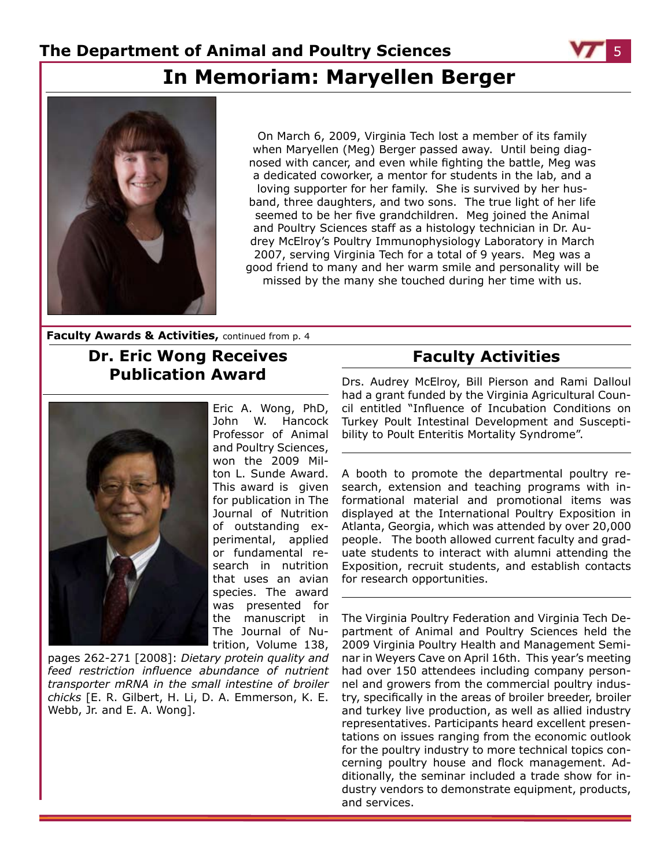

## **In Memoriam: Maryellen Berger**



On March 6, 2009, Virginia Tech lost a member of its family when Maryellen (Meg) Berger passed away. Until being diagnosed with cancer, and even while fighting the battle, Meg was a dedicated coworker, a mentor for students in the lab, and a loving supporter for her family. She is survived by her husband, three daughters, and two sons. The true light of her life seemed to be her five grandchildren. Meg joined the Animal and Poultry Sciences staff as a histology technician in Dr. Audrey McElroy's Poultry Immunophysiology Laboratory in March 2007, serving Virginia Tech for a total of 9 years. Meg was a good friend to many and her warm smile and personality will be missed by the many she touched during her time with us.

**Faculty Awards & Activities,** continued from p. 4

### **Dr. Eric Wong Receives Publication Award**



Eric A. Wong, PhD, John W. Hancock Professor of Animal and Poultry Sciences, won the 2009 Milton L. Sunde Award. This award is given for publication in The Journal of Nutrition of outstanding experimental, applied or fundamental research in nutrition that uses an avian species. The award was presented for the manuscript in The Journal of Nutrition, Volume 138,

pages 262-271 [2008]: *Dietary protein quality and feed restriction influence abundance of nutrient transporter mRNA in the small intestine of broiler chicks* [E. R. Gilbert, H. Li, D. A. Emmerson, K. E. Webb, Jr. and E. A. Wong].

### **Faculty Activities**

Drs. Audrey McElroy, Bill Pierson and Rami Dalloul had a grant funded by the Virginia Agricultural Council entitled "Influence of Incubation Conditions on Turkey Poult Intestinal Development and Susceptibility to Poult Enteritis Mortality Syndrome".

A booth to promote the departmental poultry research, extension and teaching programs with informational material and promotional items was displayed at the International Poultry Exposition in Atlanta, Georgia, which was attended by over 20,000 people. The booth allowed current faculty and graduate students to interact with alumni attending the Exposition, recruit students, and establish contacts for research opportunities.

The Virginia Poultry Federation and Virginia Tech Department of Animal and Poultry Sciences held the 2009 Virginia Poultry Health and Management Seminar in Weyers Cave on April 16th. This year's meeting had over 150 attendees including company personnel and growers from the commercial poultry industry, specifically in the areas of broiler breeder, broiler and turkey live production, as well as allied industry representatives. Participants heard excellent presentations on issues ranging from the economic outlook for the poultry industry to more technical topics concerning poultry house and flock management. Additionally, the seminar included a trade show for industry vendors to demonstrate equipment, products, and services.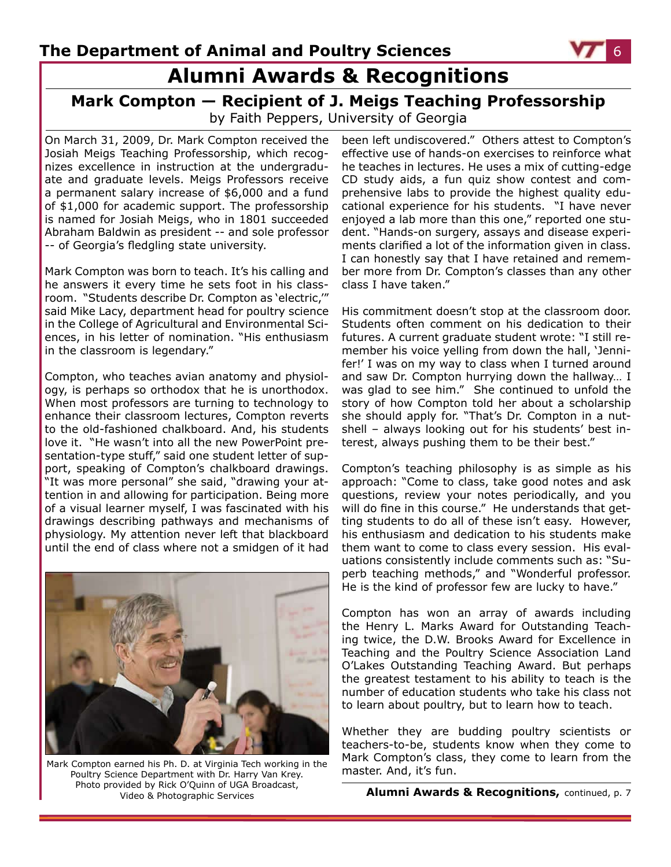## **Alumni Awards & Recognitions**

#### **Mark Compton — Recipient of J. Meigs Teaching Professorship** by Faith Peppers, University of Georgia

On March 31, 2009, Dr. Mark Compton received the Josiah Meigs Teaching Professorship, which recognizes excellence in instruction at the undergraduate and graduate levels. Meigs Professors receive a permanent salary increase of \$6,000 and a fund of \$1,000 for academic support. The professorship is named for Josiah Meigs, who in 1801 succeeded Abraham Baldwin as president -- and sole professor -- of Georgia's fledgling state university.

Mark Compton was born to teach. It's his calling and he answers it every time he sets foot in his classroom. "Students describe Dr. Compton as 'electric,'" said Mike Lacy, department head for poultry science in the College of Agricultural and Environmental Sciences, in his letter of nomination. "His enthusiasm in the classroom is legendary."

Compton, who teaches avian anatomy and physiology, is perhaps so orthodox that he is unorthodox. When most professors are turning to technology to enhance their classroom lectures, Compton reverts to the old-fashioned chalkboard. And, his students love it. "He wasn't into all the new PowerPoint presentation-type stuff," said one student letter of support, speaking of Compton's chalkboard drawings. "It was more personal" she said, "drawing your attention in and allowing for participation. Being more of a visual learner myself, I was fascinated with his drawings describing pathways and mechanisms of physiology. My attention never left that blackboard until the end of class where not a smidgen of it had



mark Compton earned his Ph. D. at Virginia Tech working in the Thai K Compton S Clas<br>Poultry Science Department with Dr. Harry Van Krey Man Ster. And, it's fun. Poultry Science Department with Dr. Harry Van Krey. Photo provided by Rick O'Quinn of UGA Broadcast,

been left undiscovered." Others attest to Compton's effective use of hands-on exercises to reinforce what he teaches in lectures. He uses a mix of cutting-edge CD study aids, a fun quiz show contest and comprehensive labs to provide the highest quality educational experience for his students. "I have never enjoyed a lab more than this one," reported one student. "Hands-on surgery, assays and disease experiments clarified a lot of the information given in class. I can honestly say that I have retained and remember more from Dr. Compton's classes than any other class I have taken."

His commitment doesn't stop at the classroom door. Students often comment on his dedication to their futures. A current graduate student wrote: "I still remember his voice yelling from down the hall, 'Jennifer!' I was on my way to class when I turned around and saw Dr. Compton hurrying down the hallway… I was glad to see him." She continued to unfold the story of how Compton told her about a scholarship she should apply for. "That's Dr. Compton in a nutshell – always looking out for his students' best interest, always pushing them to be their best."

Compton's teaching philosophy is as simple as his approach: "Come to class, take good notes and ask questions, review your notes periodically, and you will do fine in this course." He understands that getting students to do all of these isn't easy. However, his enthusiasm and dedication to his students make them want to come to class every session. His evaluations consistently include comments such as: "Superb teaching methods," and "Wonderful professor. He is the kind of professor few are lucky to have."

Compton has won an array of awards including the Henry L. Marks Award for Outstanding Teaching twice, the D.W. Brooks Award for Excellence in Teaching and the Poultry Science Association Land O'Lakes Outstanding Teaching Award. But perhaps the greatest testament to his ability to teach is the number of education students who take his class not to learn about poultry, but to learn how to teach.

Whether they are budding poultry scientists or teachers-to-be, students know when they come to Mark Compton's class, they come to learn from the

Video & Photographic Services **Alumni Awards & Recognitions,** continued, p. 7

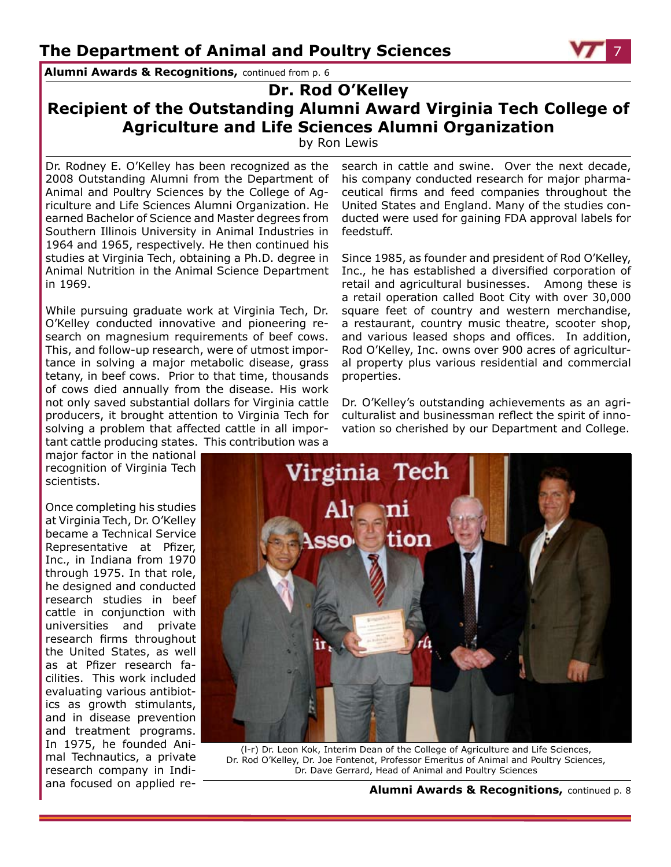**Alumni Awards & Recognitions,** continued from p. 6

### **Dr. Rod O'Kelley Recipient of the Outstanding Alumni Award Virginia Tech College of Agriculture and Life Sciences Alumni Organization**

by Ron Lewis

Dr. Rodney E. O'Kelley has been recognized as the 2008 Outstanding Alumni from the Department of Animal and Poultry Sciences by the College of Agriculture and Life Sciences Alumni Organization. He earned Bachelor of Science and Master degrees from Southern Illinois University in Animal Industries in 1964 and 1965, respectively. He then continued his studies at Virginia Tech, obtaining a Ph.D. degree in Animal Nutrition in the Animal Science Department in 1969.

While pursuing graduate work at Virginia Tech, Dr. O'Kelley conducted innovative and pioneering research on magnesium requirements of beef cows. This, and follow-up research, were of utmost importance in solving a major metabolic disease, grass tetany, in beef cows. Prior to that time, thousands of cows died annually from the disease. His work not only saved substantial dollars for Virginia cattle producers, it brought attention to Virginia Tech for solving a problem that affected cattle in all important cattle producing states. This contribution was a

major factor in the national recognition of Virginia Tech scientists.

Once completing his studies at Virginia Tech, Dr. O'Kelley became a Technical Service Representative at Pfizer, Inc., in Indiana from 1970 through 1975. In that role, he designed and conducted research studies in beef cattle in conjunction with universities and private research firms throughout the United States, as well as at Pfizer research facilities. This work included evaluating various antibiotics as growth stimulants, and in disease prevention and treatment programs. In 1975, he founded Animal Technautics, a private research company in Indiana focused on applied research in cattle and swine. Over the next decade, his company conducted research for major pharmaceutical firms and feed companies throughout the United States and England. Many of the studies conducted were used for gaining FDA approval labels for feedstuff.

Since 1985, as founder and president of Rod O'Kelley, Inc., he has established a diversified corporation of retail and agricultural businesses. Among these is a retail operation called Boot City with over 30,000 square feet of country and western merchandise, a restaurant, country music theatre, scooter shop, and various leased shops and offices. In addition, Rod O'Kelley, Inc. owns over 900 acres of agricultural property plus various residential and commercial properties.

Dr. O'Kelley's outstanding achievements as an agriculturalist and businessman reflect the spirit of innovation so cherished by our Department and College.



(l-r) Dr. Leon Kok, Interim Dean of the College of Agriculture and Life Sciences, Dr. Rod O'Kelley, Dr. Joe Fontenot, Professor Emeritus of Animal and Poultry Sciences, Dr. Dave Gerrard, Head of Animal and Poultry Sciences

**Alumni Awards & Recognitions,** continued p. 8

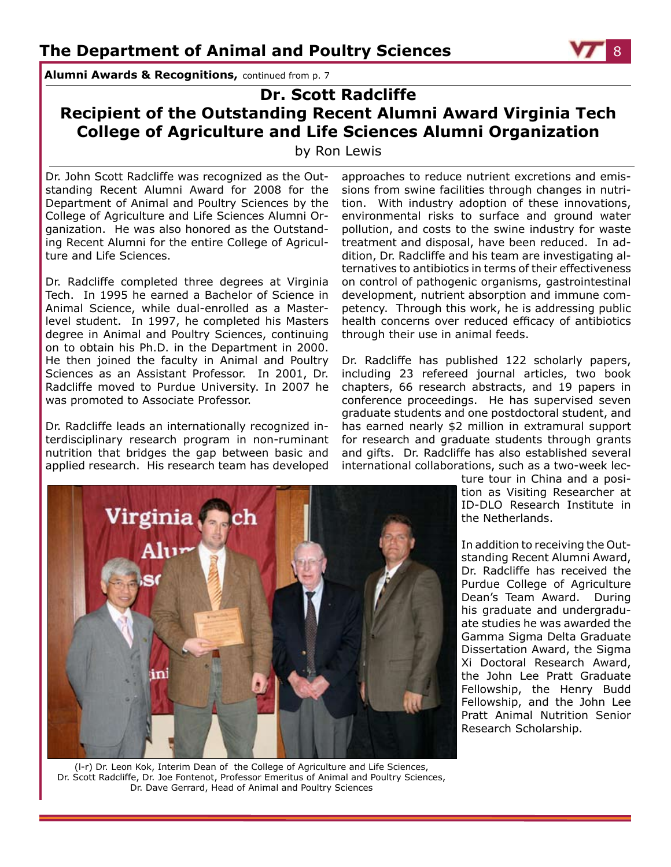**Alumni Awards & Recognitions,** continued from p. 7

### **Dr. Scott Radcliffe Recipient of the Outstanding Recent Alumni Award Virginia Tech College of Agriculture and Life Sciences Alumni Organization**

by Ron Lewis

Dr. John Scott Radcliffe was recognized as the Outstanding Recent Alumni Award for 2008 for the Department of Animal and Poultry Sciences by the College of Agriculture and Life Sciences Alumni Organization. He was also honored as the Outstanding Recent Alumni for the entire College of Agriculture and Life Sciences.

Dr. Radcliffe completed three degrees at Virginia Tech. In 1995 he earned a Bachelor of Science in Animal Science, while dual-enrolled as a Masterlevel student. In 1997, he completed his Masters degree in Animal and Poultry Sciences, continuing on to obtain his Ph.D. in the Department in 2000. He then joined the faculty in Animal and Poultry Sciences as an Assistant Professor. In 2001, Dr. Radcliffe moved to Purdue University. In 2007 he was promoted to Associate Professor.

Dr. Radcliffe leads an internationally recognized interdisciplinary research program in non-ruminant nutrition that bridges the gap between basic and applied research. His research team has developed approaches to reduce nutrient excretions and emissions from swine facilities through changes in nutrition. With industry adoption of these innovations, environmental risks to surface and ground water pollution, and costs to the swine industry for waste treatment and disposal, have been reduced. In addition, Dr. Radcliffe and his team are investigating alternatives to antibiotics in terms of their effectiveness on control of pathogenic organisms, gastrointestinal development, nutrient absorption and immune competency. Through this work, he is addressing public health concerns over reduced efficacy of antibiotics through their use in animal feeds.

Dr. Radcliffe has published 122 scholarly papers, including 23 refereed journal articles, two book chapters, 66 research abstracts, and 19 papers in conference proceedings. He has supervised seven graduate students and one postdoctoral student, and has earned nearly \$2 million in extramural support for research and graduate students through grants and gifts. Dr. Radcliffe has also established several international collaborations, such as a two-week lec-



(l-r) Dr. Leon Kok, Interim Dean of the College of Agriculture and Life Sciences, Dr. Scott Radcliffe, Dr. Joe Fontenot, Professor Emeritus of Animal and Poultry Sciences, Dr. Dave Gerrard, Head of Animal and Poultry Sciences

ture tour in China and a position as Visiting Researcher at ID-DLO Research Institute in the Netherlands.

In addition to receiving the Outstanding Recent Alumni Award, Dr. Radcliffe has received the Purdue College of Agriculture Dean's Team Award. During his graduate and undergraduate studies he was awarded the Gamma Sigma Delta Graduate Dissertation Award, the Sigma Xi Doctoral Research Award, the John Lee Pratt Graduate Fellowship, the Henry Budd Fellowship, and the John Lee Pratt Animal Nutrition Senior Research Scholarship.

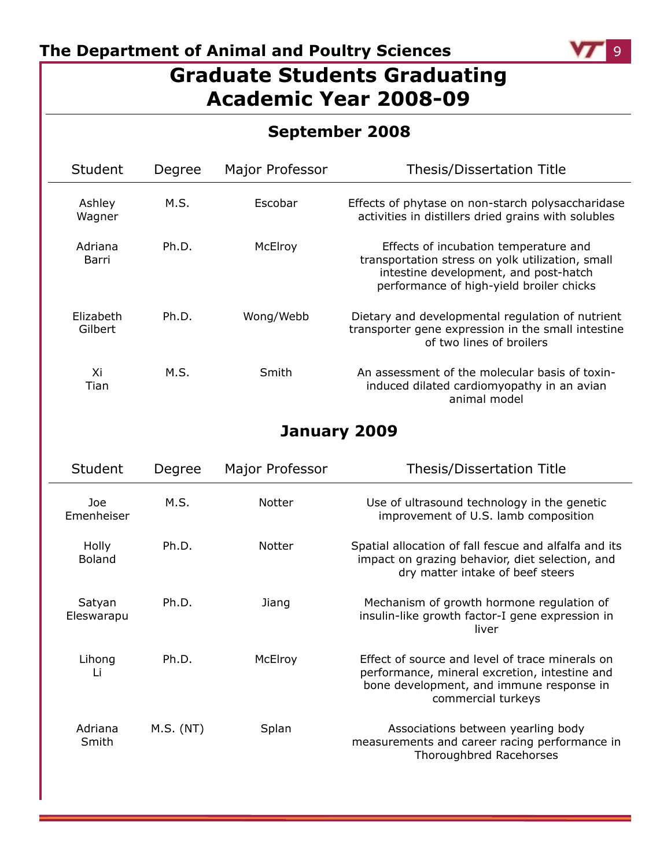### **The Department of Animal and Poultry Sciences 1999 12:33 12:44 12:45 12:45 12:45 12:45 12:45 12:45 12:45 12:45 12:45 12:45 12:45 12:45 12:45 12:45 12:45 12:45 12:45 12:45 12:45 12:45 12:45 12:45 12:45 12:45 12:45 12:45**

## **Graduate Students Graduating Academic Year 2008-09**

|                      |        |                 | <b>September 2008</b>                                                                                                                                                          |
|----------------------|--------|-----------------|--------------------------------------------------------------------------------------------------------------------------------------------------------------------------------|
| Student              | Degree | Major Professor | <b>Thesis/Dissertation Title</b>                                                                                                                                               |
| Ashley<br>Wagner     | M.S.   | Escobar         | Effects of phytase on non-starch polysaccharidase<br>activities in distillers dried grains with solubles                                                                       |
| Adriana<br>Barri     | Ph.D.  | McElroy         | Effects of incubation temperature and<br>transportation stress on yolk utilization, small<br>intestine development, and post-hatch<br>performance of high-yield broiler chicks |
| Elizabeth<br>Gilbert | Ph.D.  | Wong/Webb       | Dietary and developmental regulation of nutrient<br>transporter gene expression in the small intestine<br>of two lines of broilers                                             |
| Xi<br>Tian           | M.S.   | Smith           | An assessment of the molecular basis of toxin-<br>induced dilated cardiomyopathy in an avian<br>animal model                                                                   |

### **January 2009**

| <b>Student</b>         | Degree    | <b>Major Professor</b> | <b>Thesis/Dissertation Title</b>                                                                                                                                   |
|------------------------|-----------|------------------------|--------------------------------------------------------------------------------------------------------------------------------------------------------------------|
| Joe<br>Emenheiser      | M.S.      | <b>Notter</b>          | Use of ultrasound technology in the genetic<br>improvement of U.S. lamb composition                                                                                |
| <b>Holly</b><br>Boland | Ph.D.     | <b>Notter</b>          | Spatial allocation of fall fescue and alfalfa and its<br>impact on grazing behavior, diet selection, and<br>dry matter intake of beef steers                       |
| Satyan<br>Eleswarapu   | Ph.D.     | Jiang                  | Mechanism of growth hormone regulation of<br>insulin-like growth factor-I gene expression in<br>liver                                                              |
| Lihong<br>Li           | Ph.D.     | McElroy                | Effect of source and level of trace minerals on<br>performance, mineral excretion, intestine and<br>bone development, and immune response in<br>commercial turkeys |
| Adriana<br>Smith       | M.S. (NT) | Splan                  | Associations between yearling body<br>measurements and career racing performance in<br>Thoroughbred Racehorses                                                     |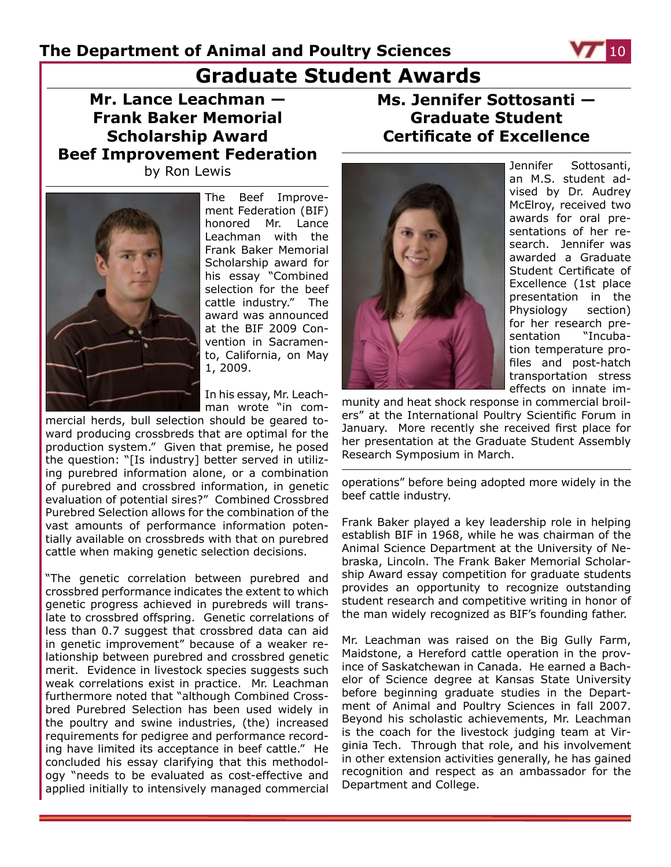## **Graduate Student Awards**

**Mr. Lance Leachman — Frank Baker Memorial Scholarship Award Beef Improvement Federation** by Ron Lewis



The Beef Improvement Federation (BIF) honored Mr. Lance Leachman with the Frank Baker Memorial Scholarship award for his essay "Combined selection for the beef cattle industry." The award was announced at the BIF 2009 Convention in Sacramento, California, on May 1, 2009.

In his essay, Mr. Leachman wrote "in com-

mercial herds, bull selection should be geared toward producing crossbreds that are optimal for the production system." Given that premise, he posed the question: "[Is industry] better served in utilizing purebred information alone, or a combination of purebred and crossbred information, in genetic evaluation of potential sires?" Combined Crossbred Purebred Selection allows for the combination of the vast amounts of performance information potentially available on crossbreds with that on purebred cattle when making genetic selection decisions.

"The genetic correlation between purebred and crossbred performance indicates the extent to which genetic progress achieved in purebreds will translate to crossbred offspring. Genetic correlations of less than 0.7 suggest that crossbred data can aid in genetic improvement" because of a weaker relationship between purebred and crossbred genetic merit. Evidence in livestock species suggests such weak correlations exist in practice. Mr. Leachman furthermore noted that "although Combined Crossbred Purebred Selection has been used widely in the poultry and swine industries, (the) increased requirements for pedigree and performance recording have limited its acceptance in beef cattle." He concluded his essay clarifying that this methodology "needs to be evaluated as cost-effective and applied initially to intensively managed commercial

**Ms. Jennifer Sottosanti — Graduate Student Certificate of Excellence**



Jennifer Sottosanti, an M.S. student advised by Dr. Audrey McElroy, received two awards for oral presentations of her research. Jennifer was awarded a Graduate Student Certificate of Excellence (1st place presentation in the Physiology section) for her research presentation "Incubation temperature profiles and post-hatch transportation stress effects on innate im-

munity and heat shock response in commercial broilers" at the International Poultry Scientific Forum in January. More recently she received first place for her presentation at the Graduate Student Assembly Research Symposium in March.

operations" before being adopted more widely in the beef cattle industry.

Frank Baker played a key leadership role in helping establish BIF in 1968, while he was chairman of the Animal Science Department at the University of Nebraska, Lincoln. The Frank Baker Memorial Scholarship Award essay competition for graduate students provides an opportunity to recognize outstanding student research and competitive writing in honor of the man widely recognized as BIF's founding father.

Mr. Leachman was raised on the Big Gully Farm, Maidstone, a Hereford cattle operation in the province of Saskatchewan in Canada. He earned a Bachelor of Science degree at Kansas State University before beginning graduate studies in the Department of Animal and Poultry Sciences in fall 2007. Beyond his scholastic achievements, Mr. Leachman is the coach for the livestock judging team at Virginia Tech. Through that role, and his involvement in other extension activities generally, he has gained recognition and respect as an ambassador for the Department and College.

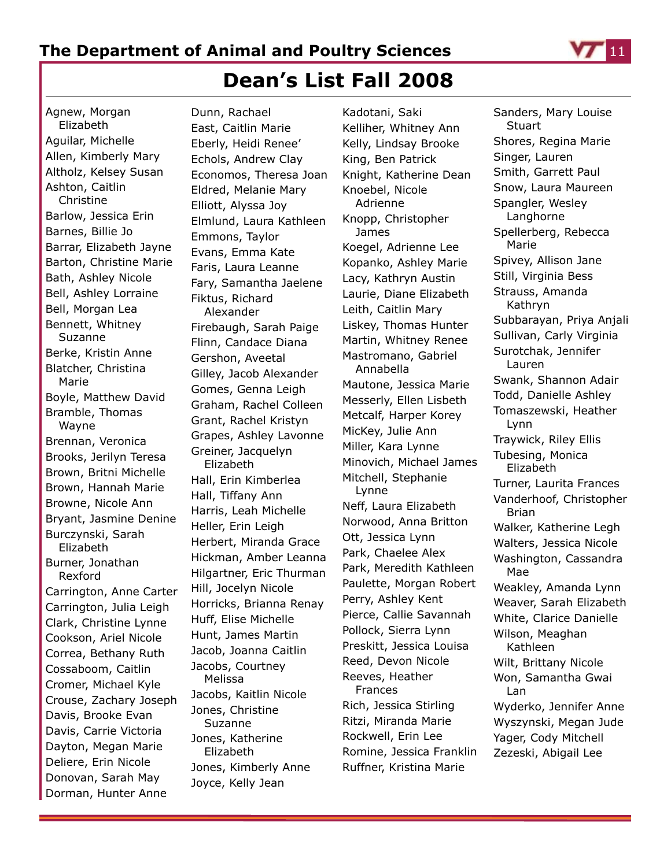

## **Dean's List Fall 2008**

Agnew, Morgan Elizabeth Aguilar, Michelle Allen, Kimberly Mary Altholz, Kelsey Susan Ashton, Caitlin Christine Barlow, Jessica Erin Barnes, Billie Jo Barrar, Elizabeth Jayne Barton, Christine Marie Bath, Ashley Nicole Bell, Ashley Lorraine Bell, Morgan Lea Bennett, Whitney Suzanne Berke, Kristin Anne Blatcher, Christina Marie Boyle, Matthew David Bramble, Thomas Wayne Brennan, Veronica Brooks, Jerilyn Teresa Brown, Britni Michelle Brown, Hannah Marie Browne, Nicole Ann Bryant, Jasmine Denine Burczynski, Sarah Elizabeth Burner, Jonathan Rexford Carrington, Anne Carter Carrington, Julia Leigh Clark, Christine Lynne Cookson, Ariel Nicole Correa, Bethany Ruth Cossaboom, Caitlin Cromer, Michael Kyle Crouse, Zachary Joseph Davis, Brooke Evan Davis, Carrie Victoria Dayton, Megan Marie Deliere, Erin Nicole Donovan, Sarah May Dorman, Hunter Anne

Dunn, Rachael East, Caitlin Marie Eberly, Heidi Renee' Echols, Andrew Clay Economos, Theresa Joan Eldred, Melanie Mary Elliott, Alyssa Joy Elmlund, Laura Kathleen Emmons, Taylor Evans, Emma Kate Faris, Laura Leanne Fary, Samantha Jaelene Fiktus, Richard Alexander Firebaugh, Sarah Paige Flinn, Candace Diana Gershon, Aveetal Gilley, Jacob Alexander Gomes, Genna Leigh Graham, Rachel Colleen Grant, Rachel Kristyn Grapes, Ashley Lavonne Greiner, Jacquelyn Elizabeth Hall, Erin Kimberlea Hall, Tiffany Ann Harris, Leah Michelle Heller, Erin Leigh Herbert, Miranda Grace Hickman, Amber Leanna Hilgartner, Eric Thurman Hill, Jocelyn Nicole Horricks, Brianna Renay Huff, Elise Michelle Hunt, James Martin Jacob, Joanna Caitlin Jacobs, Courtney Melissa Jacobs, Kaitlin Nicole Jones, Christine Suzanne Jones, Katherine Elizabeth Jones, Kimberly Anne Joyce, Kelly Jean

Kadotani, Saki Kelliher, Whitney Ann Kelly, Lindsay Brooke King, Ben Patrick Knight, Katherine Dean Knoebel, Nicole Adrienne Knopp, Christopher James Koegel, Adrienne Lee Kopanko, Ashley Marie Lacy, Kathryn Austin Laurie, Diane Elizabeth Leith, Caitlin Mary Liskey, Thomas Hunter Martin, Whitney Renee Mastromano, Gabriel Annabella Mautone, Jessica Marie Messerly, Ellen Lisbeth Metcalf, Harper Korey MicKey, Julie Ann Miller, Kara Lynne Minovich, Michael James Mitchell, Stephanie Lynne Neff, Laura Elizabeth Norwood, Anna Britton Ott, Jessica Lynn Park, Chaelee Alex Park, Meredith Kathleen Paulette, Morgan Robert Perry, Ashley Kent Pierce, Callie Savannah Pollock, Sierra Lynn Preskitt, Jessica Louisa Reed, Devon Nicole Reeves, Heather Frances Rich, Jessica Stirling Ritzi, Miranda Marie Rockwell, Erin Lee Romine, Jessica Franklin Ruffner, Kristina Marie

Sanders, Mary Louise **Stuart** Shores, Regina Marie Singer, Lauren Smith, Garrett Paul Snow, Laura Maureen Spangler, Wesley Langhorne Spellerberg, Rebecca Marie Spivey, Allison Jane Still, Virginia Bess Strauss, Amanda Kathryn Subbarayan, Priya Anjali Sullivan, Carly Virginia Surotchak, Jennifer Lauren Swank, Shannon Adair Todd, Danielle Ashley Tomaszewski, Heather Lynn Traywick, Riley Ellis Tubesing, Monica Elizabeth Turner, Laurita Frances Vanderhoof, Christopher Brian Walker, Katherine Legh Walters, Jessica Nicole Washington, Cassandra Mae Weakley, Amanda Lynn Weaver, Sarah Elizabeth White, Clarice Danielle Wilson, Meaghan Kathleen Wilt, Brittany Nicole Won, Samantha Gwai Lan Wyderko, Jennifer Anne Wyszynski, Megan Jude Yager, Cody Mitchell Zezeski, Abigail Lee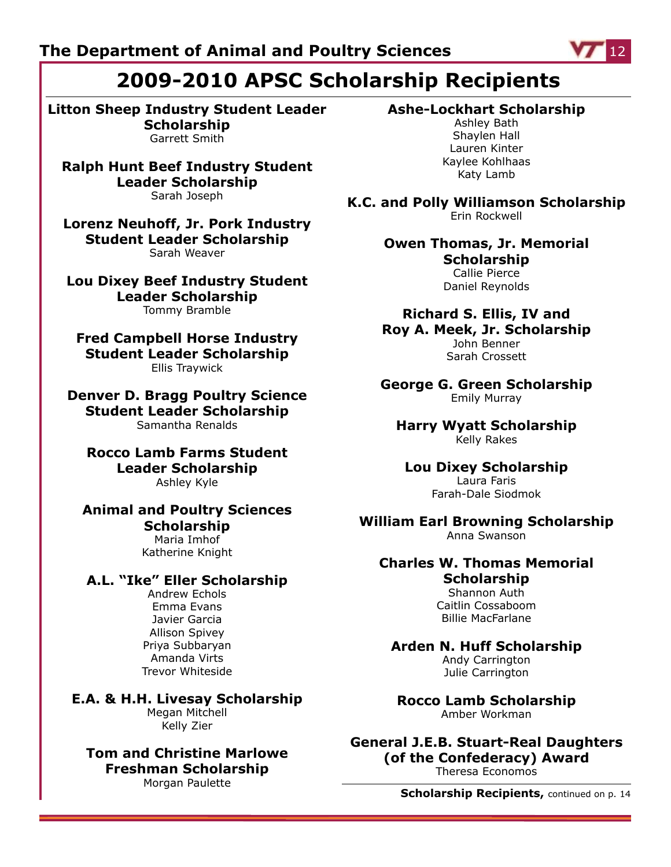## **2009-2010 APSC Scholarship Recipients**

**Litton Sheep Industry Student Leader Scholarship** Garrett Smith

**Ralph Hunt Beef Industry Student Leader Scholarship** Sarah Joseph

**Lorenz Neuhoff, Jr. Pork Industry Student Leader Scholarship** Sarah Weaver

**Lou Dixey Beef Industry Student Leader Scholarship** Tommy Bramble

**Fred Campbell Horse Industry Student Leader Scholarship** Ellis Traywick

**Denver D. Bragg Poultry Science Student Leader Scholarship** Samantha Renalds

**Rocco Lamb Farms Student Leader Scholarship** Ashley Kyle

**Animal and Poultry Sciences Scholarship** Maria Imhof

Katherine Knight

#### **A.L. "Ike" Eller Scholarship**

Andrew Echols Emma Evans Javier Garcia Allison Spivey Priya Subbaryan Amanda Virts Trevor Whiteside

**E.A. & H.H. Livesay Scholarship** Megan Mitchell Kelly Zier

**Tom and Christine Marlowe Freshman Scholarship** Morgan Paulette

#### **Ashe-Lockhart Scholarship**

Ashley Bath Shaylen Hall Lauren Kinter Kaylee Kohlhaas Katy Lamb

**K.C. and Polly Williamson Scholarship** Erin Rockwell

> **Owen Thomas, Jr. Memorial Scholarship**

Callie Pierce Daniel Reynolds

## **Richard S. Ellis, IV and**

**Roy A. Meek, Jr. Scholarship** John Benner Sarah Crossett

**George G. Green Scholarship** Emily Murray

**Harry Wyatt Scholarship** Kelly Rakes

**Lou Dixey Scholarship** Laura Faris Farah-Dale Siodmok

**William Earl Browning Scholarship** Anna Swanson

#### **Charles W. Thomas Memorial Scholarship** Shannon Auth

Caitlin Cossaboom Billie MacFarlane

### **Arden N. Huff Scholarship**

Andy Carrington Julie Carrington

**Rocco Lamb Scholarship** Amber Workman

**General J.E.B. Stuart-Real Daughters (of the Confederacy) Award** Theresa Economos

**Scholarship Recipients,** continued on p. 14

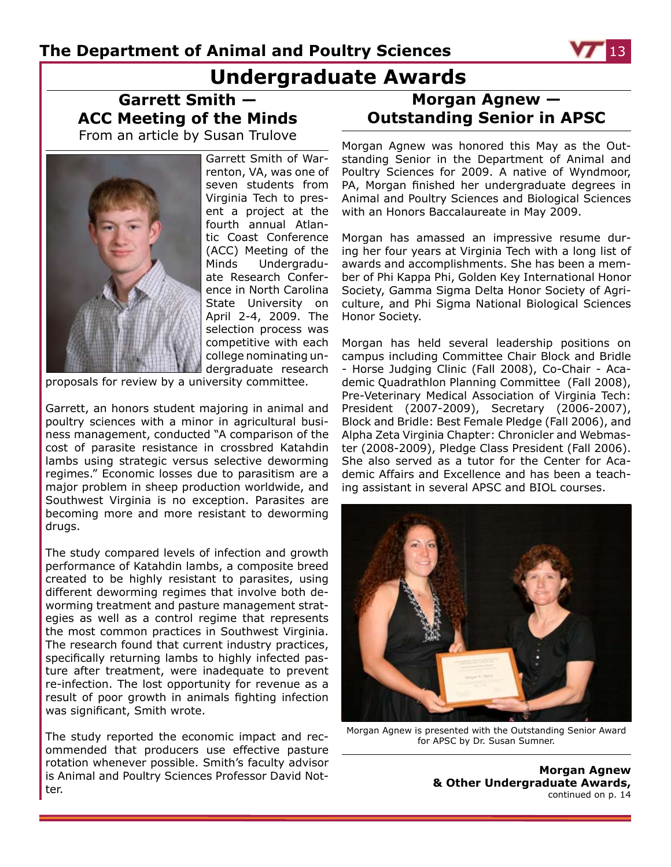## **Undergraduate Awards**

**Garrett Smith — ACC Meeting of the Minds** From an article by Susan Trulove



Garrett Smith of Warrenton, VA, was one of seven students from Virginia Tech to present a project at the fourth annual Atlantic Coast Conference (ACC) Meeting of the Minds Undergraduate Research Conference in North Carolina State University on April 2-4, 2009. The selection process was competitive with each college nominating undergraduate research

proposals for review by a university committee.

Garrett, an honors student majoring in animal and poultry sciences with a minor in agricultural business management, conducted "A comparison of the cost of parasite resistance in crossbred Katahdin lambs using strategic versus selective deworming regimes." Economic losses due to parasitism are a major problem in sheep production worldwide, and Southwest Virginia is no exception. Parasites are becoming more and more resistant to deworming drugs.

The study compared levels of infection and growth performance of Katahdin lambs, a composite breed created to be highly resistant to parasites, using different deworming regimes that involve both deworming treatment and pasture management strategies as well as a control regime that represents the most common practices in Southwest Virginia. The research found that current industry practices, specifically returning lambs to highly infected pasture after treatment, were inadequate to prevent re-infection. The lost opportunity for revenue as a result of poor growth in animals fighting infection was significant, Smith wrote.

The study reported the economic impact and recommended that producers use effective pasture rotation whenever possible. Smith's faculty advisor is Animal and Poultry Sciences Professor David Notter.

### **Morgan Agnew — Outstanding Senior in APSC**

Morgan Agnew was honored this May as the Outstanding Senior in the Department of Animal and Poultry Sciences for 2009. A native of Wyndmoor, PA, Morgan finished her undergraduate degrees in Animal and Poultry Sciences and Biological Sciences with an Honors Baccalaureate in May 2009.

Morgan has amassed an impressive resume during her four years at Virginia Tech with a long list of awards and accomplishments. She has been a member of Phi Kappa Phi, Golden Key International Honor Society, Gamma Sigma Delta Honor Society of Agriculture, and Phi Sigma National Biological Sciences Honor Society.

Morgan has held several leadership positions on campus including Committee Chair Block and Bridle - Horse Judging Clinic (Fall 2008), Co-Chair - Academic Quadrathlon Planning Committee (Fall 2008), Pre-Veterinary Medical Association of Virginia Tech: President (2007-2009), Secretary (2006-2007), Block and Bridle: Best Female Pledge (Fall 2006), and Alpha Zeta Virginia Chapter: Chronicler and Webmaster (2008-2009), Pledge Class President (Fall 2006). She also served as a tutor for the Center for Academic Affairs and Excellence and has been a teaching assistant in several APSC and BIOL courses.



Morgan Agnew is presented with the Outstanding Senior Award for APSC by Dr. Susan Sumner.

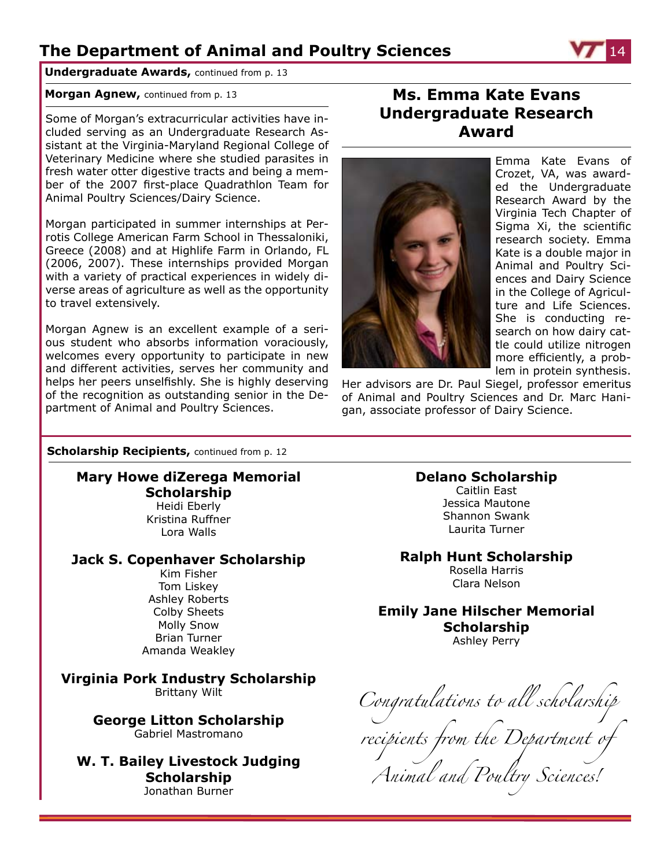**Undergraduate Awards,** continued from p. 13

#### **Morgan Agnew,** continued from p. 13

Some of Morgan's extracurricular activities have included serving as an Undergraduate Research Assistant at the Virginia-Maryland Regional College of Veterinary Medicine where she studied parasites in fresh water otter digestive tracts and being a member of the 2007 first-place Quadrathlon Team for Animal Poultry Sciences/Dairy Science.

Morgan participated in summer internships at Perrotis College American Farm School in Thessaloniki, Greece (2008) and at Highlife Farm in Orlando, FL (2006, 2007). These internships provided Morgan with a variety of practical experiences in widely diverse areas of agriculture as well as the opportunity to travel extensively.

Morgan Agnew is an excellent example of a serious student who absorbs information voraciously, welcomes every opportunity to participate in new and different activities, serves her community and helps her peers unselfishly. She is highly deserving of the recognition as outstanding senior in the Department of Animal and Poultry Sciences.

### **Ms. Emma Kate Evans Undergraduate Research Award**



Emma Kate Evans of Crozet, VA, was awarded the Undergraduate Research Award by the Virginia Tech Chapter of Sigma Xi, the scientific research society. Emma Kate is a double major in Animal and Poultry Sciences and Dairy Science in the College of Agriculture and Life Sciences. She is conducting research on how dairy cattle could utilize nitrogen more efficiently, a problem in protein synthesis.

Her advisors are Dr. Paul Siegel, professor emeritus of Animal and Poultry Sciences and Dr. Marc Hanigan, associate professor of Dairy Science.

#### **Scholarship Recipients, continued from p. 12**

#### **Mary Howe diZerega Memorial Scholarship** Heidi Eberly Kristina Ruffner Lora Walls

#### **Jack S. Copenhaver Scholarship** Kim Fisher

Tom Liskey Ashley Roberts Colby Sheets Molly Snow Brian Turner Amanda Weakley

**Virginia Pork Industry Scholarship** Brittany Wilt

> **George Litton Scholarship** Gabriel Mastromano

**W. T. Bailey Livestock Judging Scholarship** Jonathan Burner

#### **Delano Scholarship**

Caitlin East Jessica Mautone Shannon Swank Laurita Turner

#### **Ralph Hunt Scholarship**

Rosella Harris Clara Nelson

### **Emily Jane Hilscher Memorial Scholarship**

Ashley Perry

*Congratulations to all scholarship recipients from the Department of Animal and Poultry Sciences!*

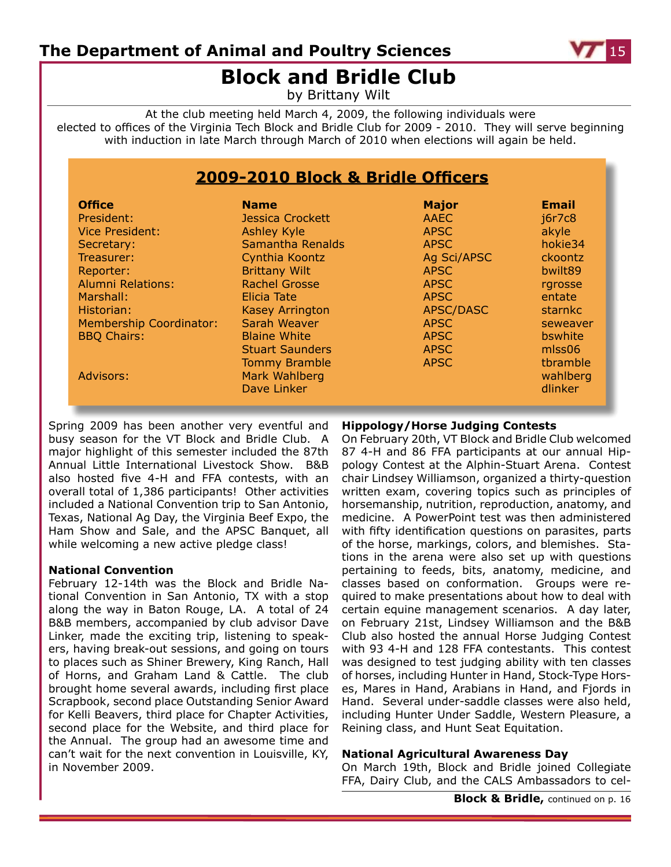

## **Block and Bridle Club**

by Brittany Wilt

At the club meeting held March 4, 2009, the following individuals were elected to offices of the Virginia Tech Block and Bridle Club for 2009 - 2010. They will serve beginning with induction in late March through March of 2010 when elections will again be held.

### **2009-2010 Block & Bridle Officers**

| <b>Office</b>                  | <b>Name</b>                                                                    | <b>Major</b>               | <b>Email</b>                                |
|--------------------------------|--------------------------------------------------------------------------------|----------------------------|---------------------------------------------|
| President:                     | <b>Jessica Crockett</b>                                                        | <b>AAEC</b>                | j6r7c8                                      |
| <b>Vice President:</b>         | <b>Ashley Kyle</b>                                                             | <b>APSC</b>                | akyle                                       |
| Secretary:                     | Samantha Renalds                                                               | <b>APSC</b>                | hokie34                                     |
| Treasurer:                     | Cynthia Koontz                                                                 | Ag Sci/APSC                | ckoontz                                     |
| Reporter:                      | <b>Brittany Wilt</b>                                                           | <b>APSC</b>                | bwilt89                                     |
| <b>Alumni Relations:</b>       | <b>Rachel Grosse</b>                                                           | <b>APSC</b>                | rgrosse                                     |
| Marshall:                      | Elicia Tate                                                                    | <b>APSC</b>                | entate                                      |
| Historian:                     | <b>Kasey Arrington</b>                                                         | APSC/DASC                  | starnkc                                     |
| <b>Membership Coordinator:</b> | Sarah Weaver                                                                   | <b>APSC</b>                | seweaver                                    |
| <b>BBQ Chairs:</b>             | <b>Blaine White</b>                                                            | <b>APSC</b>                | bswhite                                     |
| Advisors:                      | <b>Stuart Saunders</b><br><b>Tommy Bramble</b><br>Mark Wahlberg<br>Dave Linker | <b>APSC</b><br><b>APSC</b> | $m$ ss06<br>tbramble<br>wahlberg<br>dlinker |

Spring 2009 has been another very eventful and busy season for the VT Block and Bridle Club. A major highlight of this semester included the 87th Annual Little International Livestock Show. B&B also hosted five 4-H and FFA contests, with an overall total of 1,386 participants! Other activities included a National Convention trip to San Antonio, Texas, National Ag Day, the Virginia Beef Expo, the Ham Show and Sale, and the APSC Banquet, all while welcoming a new active pledge class!

#### **National Convention**

February 12-14th was the Block and Bridle National Convention in San Antonio, TX with a stop along the way in Baton Rouge, LA. A total of 24 B&B members, accompanied by club advisor Dave Linker, made the exciting trip, listening to speakers, having break-out sessions, and going on tours to places such as Shiner Brewery, King Ranch, Hall of Horns, and Graham Land & Cattle. The club brought home several awards, including first place Scrapbook, second place Outstanding Senior Award for Kelli Beavers, third place for Chapter Activities, second place for the Website, and third place for the Annual. The group had an awesome time and can't wait for the next convention in Louisville, KY, in November 2009.

#### **Hippology/Horse Judging Contests**

On February 20th, VT Block and Bridle Club welcomed 87 4-H and 86 FFA participants at our annual Hippology Contest at the Alphin-Stuart Arena. Contest chair Lindsey Williamson, organized a thirty-question written exam, covering topics such as principles of horsemanship, nutrition, reproduction, anatomy, and medicine. A PowerPoint test was then administered with fifty identification questions on parasites, parts of the horse, markings, colors, and blemishes. Stations in the arena were also set up with questions pertaining to feeds, bits, anatomy, medicine, and classes based on conformation. Groups were required to make presentations about how to deal with certain equine management scenarios. A day later, on February 21st, Lindsey Williamson and the B&B Club also hosted the annual Horse Judging Contest with 93 4-H and 128 FFA contestants. This contest was designed to test judging ability with ten classes of horses, including Hunter in Hand, Stock-Type Horses, Mares in Hand, Arabians in Hand, and Fjords in Hand. Several under-saddle classes were also held, including Hunter Under Saddle, Western Pleasure, a Reining class, and Hunt Seat Equitation.

#### **National Agricultural Awareness Day**

On March 19th, Block and Bridle joined Collegiate FFA, Dairy Club, and the CALS Ambassadors to cel-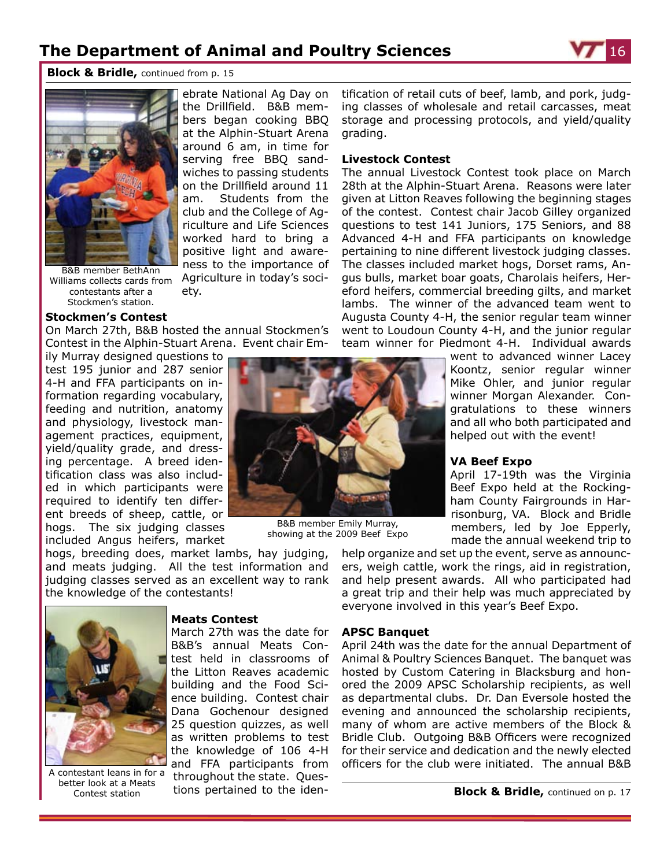ebrate National Ag Day on the Drillfield. B&B members began cooking BBQ at the Alphin-Stuart Arena around 6 am, in time for serving free BBQ sandwiches to passing students on the Drillfield around 11 am. Students from the club and the College of Agriculture and Life Sciences worked hard to bring a positive light and awareness to the importance of Agriculture in today's soci-



**Block & Bridle,** continued from p. 15



B&B member BethAnn Williams collects cards from contestants after a Stockmen's station.

#### **Stockmen's Contest**

On March 27th, B&B hosted the annual Stockmen's Contest in the Alphin-Stuart Arena. Event chair Em-

ety.

ily Murray designed questions to test 195 junior and 287 senior 4-H and FFA participants on information regarding vocabulary, feeding and nutrition, anatomy and physiology, livestock management practices, equipment, yield/quality grade, and dressing percentage. A breed identification class was also included in which participants were required to identify ten different breeds of sheep, cattle, or hogs. The six judging classes included Angus heifers, market

hogs, breeding does, market lambs, hay judging, and meats judging. All the test information and judging classes served as an excellent way to rank the knowledge of the contestants!

**Meats Contest**

March 27th was the date for B&B's annual Meats Contest held in classrooms of the Litton Reaves academic building and the Food Science building. Contest chair Dana Gochenour designed 25 question quizzes, as well as written problems to test the knowledge of 106 4-H and FFA participants from throughout the state. Questions pertained to the iden-

B&B member Emily Murray,

tification of retail cuts of beef, lamb, and pork, judging classes of wholesale and retail carcasses, meat storage and processing protocols, and yield/quality grading.

#### **Livestock Contest**

The annual Livestock Contest took place on March 28th at the Alphin-Stuart Arena. Reasons were later given at Litton Reaves following the beginning stages of the contest. Contest chair Jacob Gilley organized questions to test 141 Juniors, 175 Seniors, and 88 Advanced 4-H and FFA participants on knowledge pertaining to nine different livestock judging classes. The classes included market hogs, Dorset rams, Angus bulls, market boar goats, Charolais heifers, Hereford heifers, commercial breeding gilts, and market lambs. The winner of the advanced team went to Augusta County 4-H, the senior regular team winner went to Loudoun County 4-H, and the junior regular team winner for Piedmont 4-H. Individual awards

> went to advanced winner Lacey Koontz, senior regular winner Mike Ohler, and junior regular winner Morgan Alexander. Congratulations to these winners and all who both participated and helped out with the event!

#### **VA Beef Expo**

April 17-19th was the Virginia Beef Expo held at the Rockingham County Fairgrounds in Harrisonburg, VA. Block and Bridle members, led by Joe Epperly, made the annual weekend trip to

help organize and set up the event, serve as announcers, weigh cattle, work the rings, aid in registration, and help present awards. All who participated had a great trip and their help was much appreciated by everyone involved in this year's Beef Expo.

#### **APSC Banquet**

April 24th was the date for the annual Department of Animal & Poultry Sciences Banquet. The banquet was hosted by Custom Catering in Blacksburg and honored the 2009 APSC Scholarship recipients, as well as departmental clubs. Dr. Dan Eversole hosted the evening and announced the scholarship recipients, many of whom are active members of the Block & Bridle Club. Outgoing B&B Officers were recognized for their service and dedication and the newly elected officers for the club were initiated. The annual B&B



A contestant leans in for a better look at a Meats Contest station



showing at the 2009 Beef Expo

**Block & Bridle,** continued on p. 17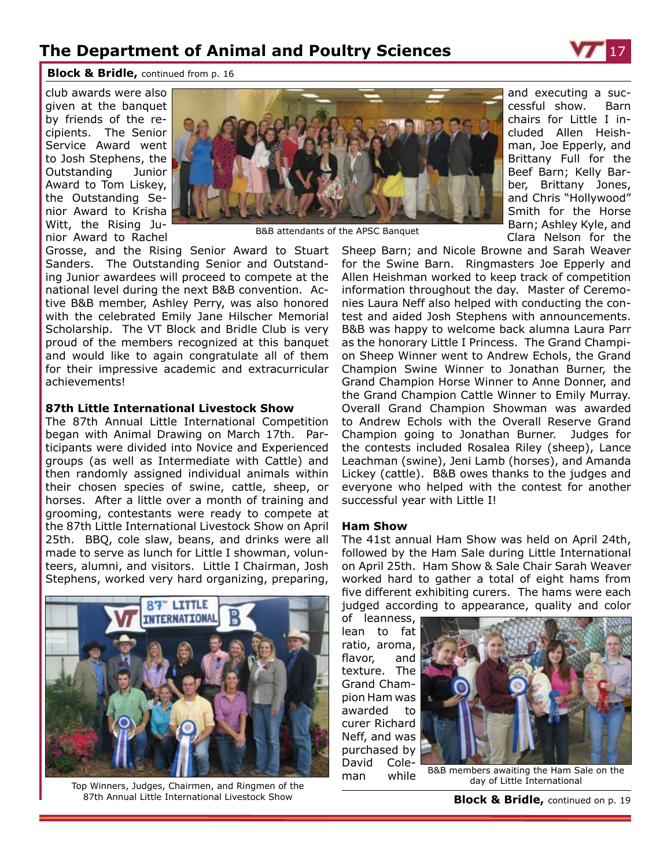

and executing a successful show. Barn chairs for Little I included Allen Heishman, Joe Epperly, and Brittany Full for the Beef Barn; Kelly Barber, Brittany Jones, and Chris "Hollywood" Smith for the Horse Barn; Ashley Kyle, and Clara Nelson for the

**Block & Bridle,** continued from p. 16

club awards were also given at the banquet by friends of the recipients. The Senior Service Award went to Josh Stephens, the Outstanding Junior Award to Tom Liskey, the Outstanding Senior Award to Krisha Witt, the Rising Junior Award to Rachel



B&B attendants of the APSC Banquet

Grosse, and the Rising Senior Award to Stuart Sanders. The Outstanding Senior and Outstanding Junior awardees will proceed to compete at the national level during the next B&B convention. Active B&B member, Ashley Perry, was also honored with the celebrated Emily Jane Hilscher Memorial Scholarship. The VT Block and Bridle Club is very proud of the members recognized at this banquet and would like to again congratulate all of them for their impressive academic and extracurricular achievements!

#### **87th Little International Livestock Show**

The 87th Annual Little International Competition began with Animal Drawing on March 17th. Participants were divided into Novice and Experienced groups (as well as Intermediate with Cattle) and then randomly assigned individual animals within their chosen species of swine, cattle, sheep, or horses. After a little over a month of training and grooming, contestants were ready to compete at the 87th Little International Livestock Show on April 25th. BBQ, cole slaw, beans, and drinks were all made to serve as lunch for Little I showman, volunteers, alumni, and visitors. Little I Chairman, Josh Stephens, worked very hard organizing, preparing,



Top Winners, Judges, Chairmen, and Ringmen of the 87th Annual Little International Livestock Show

Sheep Barn; and Nicole Browne and Sarah Weaver for the Swine Barn. Ringmasters Joe Epperly and Allen Heishman worked to keep track of competition information throughout the day. Master of Ceremonies Laura Neff also helped with conducting the contest and aided Josh Stephens with announcements. B&B was happy to welcome back alumna Laura Parr as the honorary Little I Princess. The Grand Champion Sheep Winner went to Andrew Echols, the Grand Champion Swine Winner to Jonathan Burner, the Grand Champion Horse Winner to Anne Donner, and the Grand Champion Cattle Winner to Emily Murray. Overall Grand Champion Showman was awarded to Andrew Echols with the Overall Reserve Grand Champion going to Jonathan Burner. Judges for the contests included Rosalea Riley (sheep), Lance Leachman (swine), Jeni Lamb (horses), and Amanda Lickey (cattle). B&B owes thanks to the judges and everyone who helped with the contest for another successful year with Little I!

#### **Ham Show**

The 41st annual Ham Show was held on April 24th, followed by the Ham Sale during Little International on April 25th. Ham Show & Sale Chair Sarah Weaver worked hard to gather a total of eight hams from five different exhibiting curers. The hams were each judged according to appearance, quality and color

of leanness, lean to fat ratio, aroma, flavor, and texture. The Grand Champion Ham was awarded to curer Richard Neff, and was purchased by David Coleman while



B&B members awaiting the Ham Sale on the day of Little International

**Block & Bridle,** continued on p. 19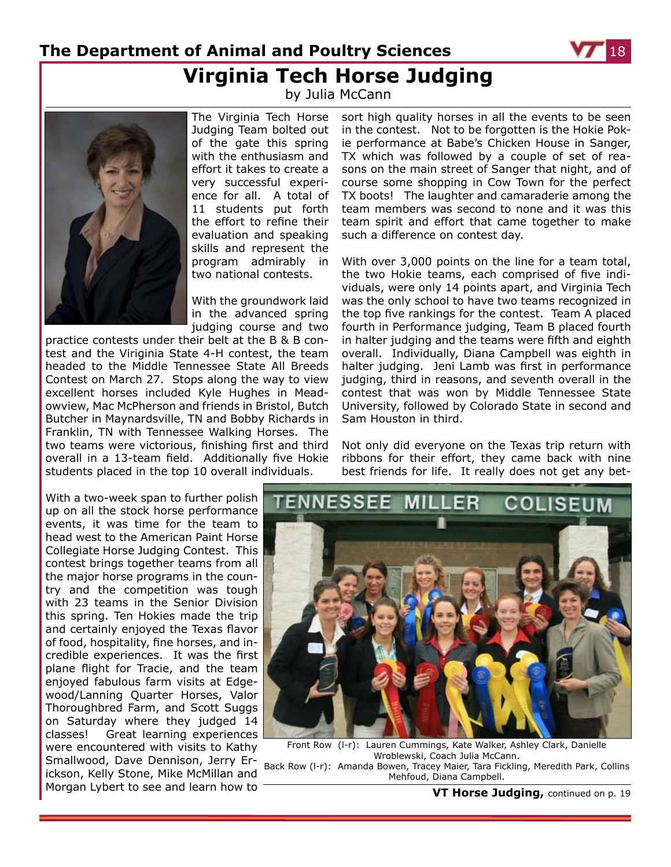## **The Department of Animal and Poultry Sciences Virginia Tech Horse Judging**

by Julia McCann



The Virginia Tech Horse Judging Team bolted out of the gate this spring with the enthusiasm and effort it takes to create a very successful experience for all. A total of 11 students put forth the effort to refine their evaluation and speaking skills and represent the program admirably in two national contests.

With the groundwork laid in the advanced spring judging course and two

practice contests under their belt at the B & B contest and the Viriginia State 4-H contest, the team headed to the Middle Tennessee State All Breeds Contest on March 27. Stops along the way to view excellent horses included Kyle Hughes in Meadowview, Mac McPherson and friends in Bristol, Butch Butcher in Maynardsville, TN and Bobby Richards in Franklin, TN with Tennessee Walking Horses. The two teams were victorious, finishing first and third overall in a 13-team field. Additionally five Hokie students placed in the top 10 overall individuals.

With a two-week span to further polish up on all the stock horse performance events, it was time for the team to head west to the American Paint Horse Collegiate Horse Judging Contest. This contest brings together teams from all the major horse programs in the country and the competition was tough with 23 teams in the Senior Division this spring. Ten Hokies made the trip and certainly enjoyed the Texas flavor of food, hospitality, fine horses, and incredible experiences. It was the first plane flight for Tracie, and the team enjoyed fabulous farm visits at Edgewood/Lanning Quarter Horses, Valor Thoroughbred Farm, and Scott Suggs on Saturday where they judged 14 classes! Great learning experiences were encountered with visits to Kathy Smallwood, Dave Dennison, Jerry Erickson, Kelly Stone, Mike McMillan and Morgan Lybert to see and learn how to sort high quality horses in all the events to be seen in the contest. Not to be forgotten is the Hokie Pokie performance at Babe's Chicken House in Sanger, TX which was followed by a couple of set of reasons on the main street of Sanger that night, and of course some shopping in Cow Town for the perfect TX boots! The laughter and camaraderie among the team members was second to none and it was this team spirit and effort that came together to make such a difference on contest day.

With over 3,000 points on the line for a team total, the two Hokie teams, each comprised of five individuals, were only 14 points apart, and Virginia Tech was the only school to have two teams recognized in the top five rankings for the contest. Team A placed fourth in Performance judging, Team B placed fourth in halter judging and the teams were fifth and eighth overall. Individually, Diana Campbell was eighth in halter judging. Jeni Lamb was first in performance judging, third in reasons, and seventh overall in the contest that was won by Middle Tennessee State University, followed by Colorado State in second and Sam Houston in third.

Not only did everyone on the Texas trip return with ribbons for their effort, they came back with nine best friends for life. It really does not get any bet-



Front Row (l-r): Lauren Cummings, Kate Walker, Ashley Clark, Danielle Wroblewski, Coach Julia McCann. Back Row (l-r): Amanda Bowen, Tracey Maier, Tara Fickling, Meredith Park, Collins Mehfoud, Diana Campbell.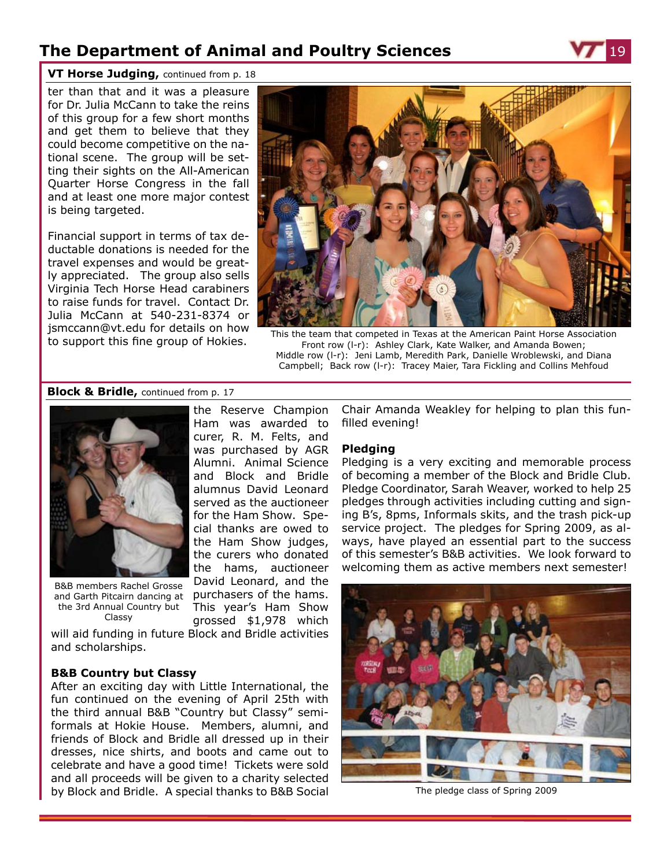the Reserve Champion Ham was awarded to curer, R. M. Felts, and was purchased by AGR Alumni. Animal Science and Block and Bridle alumnus David Leonard served as the auctioneer for the Ham Show. Special thanks are owed to the Ham Show judges, the curers who donated the hams, auctioneer David Leonard, and the purchasers of the hams. This year's Ham Show



#### **VT Horse Judging,** continued from p. 18

ter than that and it was a pleasure for Dr. Julia McCann to take the reins of this group for a few short months and get them to believe that they could become competitive on the national scene. The group will be setting their sights on the All-American Quarter Horse Congress in the fall and at least one more major contest is being targeted.

Financial support in terms of tax deductable donations is needed for the travel expenses and would be greatly appreciated. The group also sells Virginia Tech Horse Head carabiners to raise funds for travel. Contact Dr. Julia McCann at 540-231-8374 or jsmccann@vt.edu for details on how



for support this fine group of Hokies.<br>This the team that competed in Texas at the American Paint Horse Association<br>Front row (I-r): Ashley Clark, Kate Walker, and Amanda Bowen: Front row (l-r): Ashley Clark, Kate Walker, and Amanda Bowen; Middle row (l-r): Jeni Lamb, Meredith Park, Danielle Wroblewski, and Diana Campbell; Back row (l-r): Tracey Maier, Tara Fickling and Collins Mehfoud

#### **Block & Bridle,** continued from p. 17



B&B members Rachel Grosse and Garth Pitcairn dancing at the 3rd Annual Country but Classy

grossed \$1,978 which will aid funding in future Block and Bridle activities and scholarships.

#### **B&B Country but Classy**

After an exciting day with Little International, the fun continued on the evening of April 25th with the third annual B&B "Country but Classy" semiformals at Hokie House. Members, alumni, and friends of Block and Bridle all dressed up in their dresses, nice shirts, and boots and came out to celebrate and have a good time! Tickets were sold and all proceeds will be given to a charity selected by Block and Bridle. A special thanks to B&B Social

Chair Amanda Weakley for helping to plan this funfilled evening!

#### **Pledging**

Pledging is a very exciting and memorable process of becoming a member of the Block and Bridle Club. Pledge Coordinator, Sarah Weaver, worked to help 25 pledges through activities including cutting and signing B's, 8pms, Informals skits, and the trash pick-up service project. The pledges for Spring 2009, as always, have played an essential part to the success of this semester's B&B activities. We look forward to welcoming them as active members next semester!



The pledge class of Spring 2009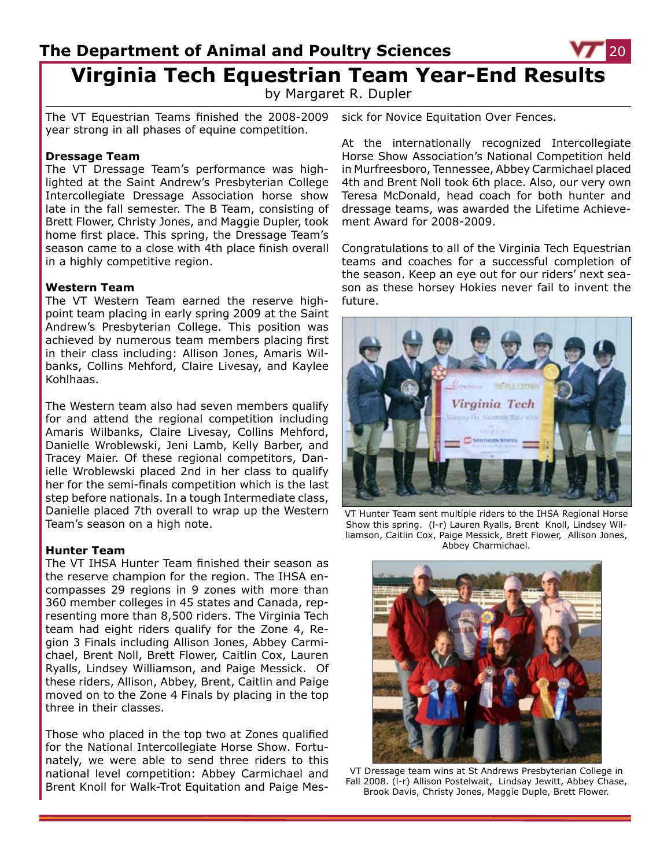by Margaret R. Dupler

The VT Equestrian Teams finished the 2008-2009 year strong in all phases of equine competition.

#### **Dressage Team**

The VT Dressage Team's performance was highlighted at the Saint Andrew's Presbyterian College Intercollegiate Dressage Association horse show late in the fall semester. The B Team, consisting of Brett Flower, Christy Jones, and Maggie Dupler, took home first place. This spring, the Dressage Team's season came to a close with 4th place finish overall in a highly competitive region.

#### **Western Team**

The VT Western Team earned the reserve highpoint team placing in early spring 2009 at the Saint Andrew's Presbyterian College. This position was achieved by numerous team members placing first in their class including: Allison Jones, Amaris Wilbanks, Collins Mehford, Claire Livesay, and Kaylee Kohlhaas.

The Western team also had seven members qualify for and attend the regional competition including Amaris Wilbanks, Claire Livesay, Collins Mehford, Danielle Wroblewski, Jeni Lamb, Kelly Barber, and Tracey Maier. Of these regional competitors, Danielle Wroblewski placed 2nd in her class to qualify her for the semi-finals competition which is the last step before nationals. In a tough Intermediate class, Danielle placed 7th overall to wrap up the Western Team's season on a high note.

#### **Hunter Team**

The VT IHSA Hunter Team finished their season as the reserve champion for the region. The IHSA encompasses 29 regions in 9 zones with more than 360 member colleges in 45 states and Canada, representing more than 8,500 riders. The Virginia Tech team had eight riders qualify for the Zone 4, Region 3 Finals including Allison Jones, Abbey Carmichael, Brent Noll, Brett Flower, Caitlin Cox, Lauren Ryalls, Lindsey Williamson, and Paige Messick. Of these riders, Allison, Abbey, Brent, Caitlin and Paige moved on to the Zone 4 Finals by placing in the top three in their classes.

Those who placed in the top two at Zones qualified for the National Intercollegiate Horse Show. Fortunately, we were able to send three riders to this national level competition: Abbey Carmichael and Brent Knoll for Walk-Trot Equitation and Paige Mes-

sick for Novice Equitation Over Fences.

At the internationally recognized Intercollegiate Horse Show Association's National Competition held in Murfreesboro, Tennessee, Abbey Carmichael placed 4th and Brent Noll took 6th place. Also, our very own Teresa McDonald, head coach for both hunter and dressage teams, was awarded the Lifetime Achievement Award for 2008-2009.

Congratulations to all of the Virginia Tech Equestrian teams and coaches for a successful completion of the season. Keep an eye out for our riders' next season as these horsey Hokies never fail to invent the future.



VT Hunter Team sent multiple riders to the IHSA Regional Horse Show this spring. (l-r) Lauren Ryalls, Brent Knoll, Lindsey Williamson, Caitlin Cox, Paige Messick, Brett Flower, Allison Jones, Abbey Charmichael.



VT Dressage team wins at St Andrews Presbyterian College in Fall 2008. (l-r) Allison Postelwait, Lindsay Jewitt, Abbey Chase, Brook Davis, Christy Jones, Maggie Duple, Brett Flower.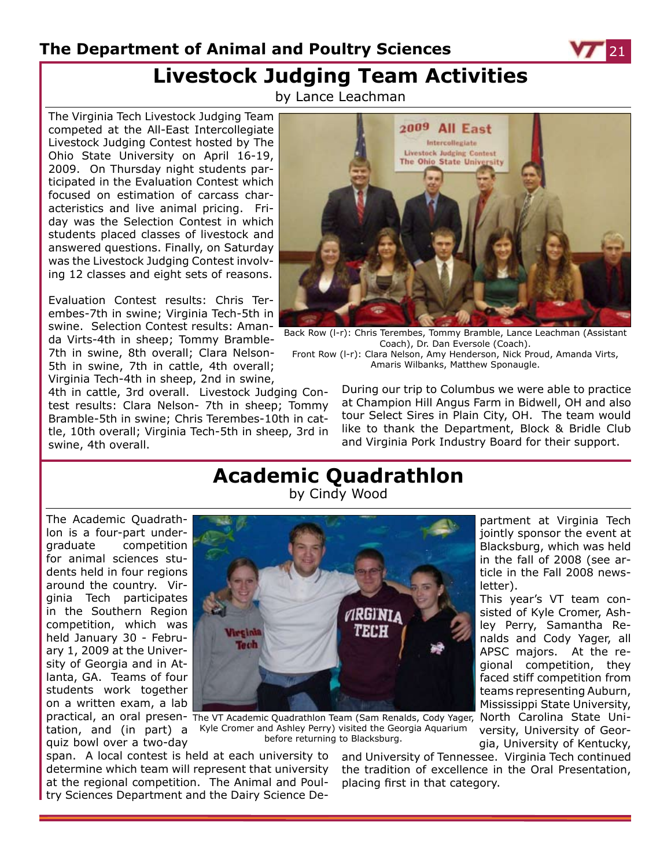## **Livestock Judging Team Activities**

by Lance Leachman

The Virginia Tech Livestock Judging Team competed at the All-East Intercollegiate Livestock Judging Contest hosted by The Ohio State University on April 16-19, 2009. On Thursday night students participated in the Evaluation Contest which focused on estimation of carcass characteristics and live animal pricing. Friday was the Selection Contest in which students placed classes of livestock and answered questions. Finally, on Saturday was the Livestock Judging Contest involving 12 classes and eight sets of reasons.

Evaluation Contest results: Chris Terembes-7th in swine; Virginia Tech-5th in swine. Selection Contest results: Amanda Virts-4th in sheep; Tommy Bramble-7th in swine, 8th overall; Clara Nelson-5th in swine, 7th in cattle, 4th overall; Virginia Tech-4th in sheep, 2nd in swine,

4th in cattle, 3rd overall. Livestock Judging Contest results: Clara Nelson- 7th in sheep; Tommy Bramble-5th in swine; Chris Terembes-10th in cattle, 10th overall; Virginia Tech-5th in sheep, 3rd in swine, 4th overall.



Back Row (l-r): Chris Terembes, Tommy Bramble, Lance Leachman (Assistant Coach), Dr. Dan Eversole (Coach).

Front Row (l-r): Clara Nelson, Amy Henderson, Nick Proud, Amanda Virts, Amaris Wilbanks, Matthew Sponaugle.

> During our trip to Columbus we were able to practice at Champion Hill Angus Farm in Bidwell, OH and also tour Select Sires in Plain City, OH. The team would like to thank the Department, Block & Bridle Club and Virginia Pork Industry Board for their support.

### **Academic Quadrathlon** by Cindy Wood

The Academic Quadrathlon is a four-part undergraduate competition for animal sciences students held in four regions around the country. Virginia Tech participates in the Southern Region competition, which was held January 30 - February 1, 2009 at the University of Georgia and in Atlanta, GA. Teams of four students work together on a written exam, a lab

quiz bowl over a two-day



practical, an oral presen- The VT Academic Quadrathlon Team (Sam Renalds, Cody Yager, North Carolina State Unitation, and (in part) a Kyle Cromer and Ashley Perry) visited the Georgia Aquarium before returning to Blacksburg.

span. A local contest is held at each university to determine which team will represent that university at the regional competition. The Animal and Poultry Sciences Department and the Dairy Science Deand University of Tennessee. Virginia Tech continued the tradition of excellence in the Oral Presentation, placing first in that category.

partment at Virginia Tech jointly sponsor the event at Blacksburg, which was held in the fall of 2008 (see article in the Fall 2008 newsletter).

This year's VT team consisted of Kyle Cromer, Ashley Perry, Samantha Renalds and Cody Yager, all APSC majors. At the regional competition, they faced stiff competition from teams representing Auburn, Mississippi State University,

versity, University of Georgia, University of Kentucky,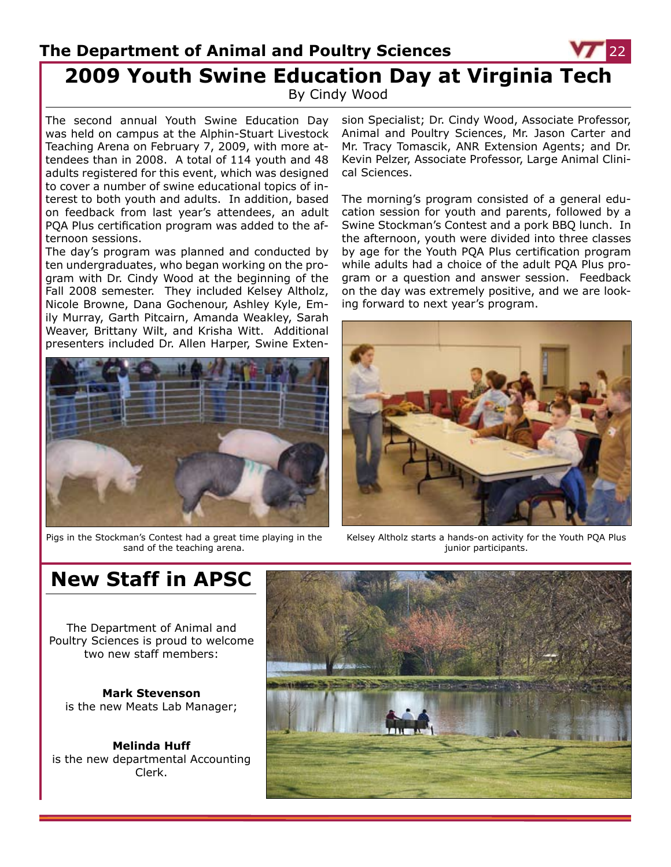### **The Department of Animal and Poultry Sciences 2009 Youth Swine Education Day at Virginia Tech** By Cindy Wood

The second annual Youth Swine Education Day was held on campus at the Alphin-Stuart Livestock Teaching Arena on February 7, 2009, with more attendees than in 2008. A total of 114 youth and 48 adults registered for this event, which was designed to cover a number of swine educational topics of interest to both youth and adults. In addition, based on feedback from last year's attendees, an adult PQA Plus certification program was added to the afternoon sessions.

The day's program was planned and conducted by ten undergraduates, who began working on the program with Dr. Cindy Wood at the beginning of the Fall 2008 semester. They included Kelsey Altholz, Nicole Browne, Dana Gochenour, Ashley Kyle, Emily Murray, Garth Pitcairn, Amanda Weakley, Sarah Weaver, Brittany Wilt, and Krisha Witt. Additional presenters included Dr. Allen Harper, Swine Exten-



Pigs in the Stockman's Contest had a great time playing in the sand of the teaching arena.

sion Specialist; Dr. Cindy Wood, Associate Professor, Animal and Poultry Sciences, Mr. Jason Carter and Mr. Tracy Tomascik, ANR Extension Agents; and Dr. Kevin Pelzer, Associate Professor, Large Animal Clinical Sciences.

The morning's program consisted of a general education session for youth and parents, followed by a Swine Stockman's Contest and a pork BBQ lunch. In the afternoon, youth were divided into three classes by age for the Youth PQA Plus certification program while adults had a choice of the adult PQA Plus program or a question and answer session. Feedback on the day was extremely positive, and we are looking forward to next year's program.



Kelsey Altholz starts a hands-on activity for the Youth PQA Plus junior participants.

## **New Staff in APSC**

The Department of Animal and Poultry Sciences is proud to welcome two new staff members:

**Mark Stevenson** is the new Meats Lab Manager;

**Melinda Huff** is the new departmental Accounting Clerk.

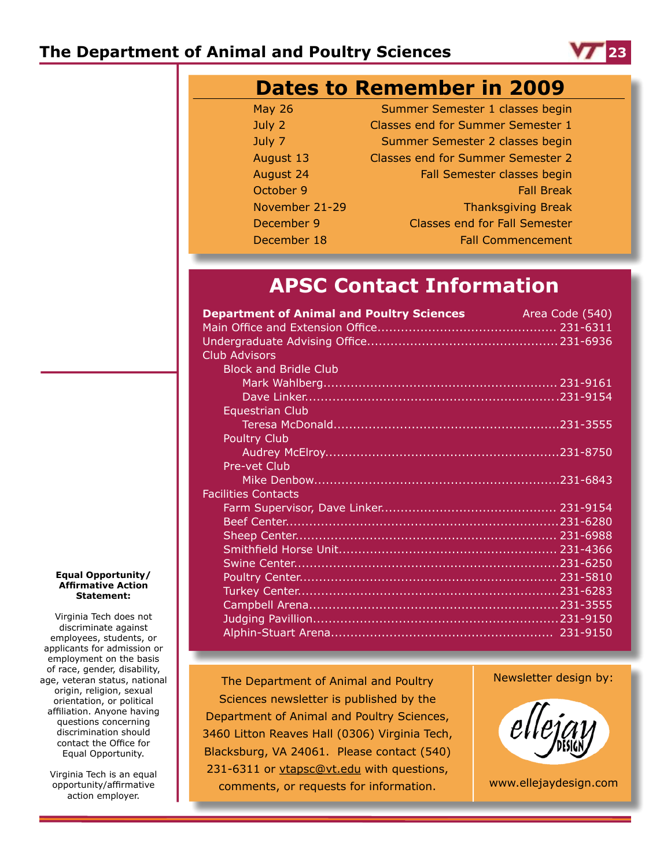

|                | <b>Dates to Remember in 2009</b>         |
|----------------|------------------------------------------|
| <b>May 26</b>  | Summer Semester 1 classes begin          |
| July 2         | <b>Classes end for Summer Semester 1</b> |
| July 7         | Summer Semester 2 classes begin          |
| August 13      | <b>Classes end for Summer Semester 2</b> |
| August 24      | Fall Semester classes begin              |
| October 9      | <b>Fall Break</b>                        |
| November 21-29 | <b>Thanksgiving Break</b>                |
| December 9     | <b>Classes end for Fall Semester</b>     |
| December 18    | <b>Fall Commencement</b>                 |

## **APSC Contact Information**

| <b>Department of Animal and Poultry Sciences</b><br>Area Code (540) |  |
|---------------------------------------------------------------------|--|
|                                                                     |  |
|                                                                     |  |
| <b>Club Advisors</b>                                                |  |
| <b>Block and Bridle Club</b>                                        |  |
|                                                                     |  |
|                                                                     |  |
| Equestrian Club                                                     |  |
|                                                                     |  |
| <b>Poultry Club</b>                                                 |  |
|                                                                     |  |
| Pre-vet Club                                                        |  |
|                                                                     |  |
| <b>Facilities Contacts</b>                                          |  |
|                                                                     |  |
|                                                                     |  |
|                                                                     |  |
|                                                                     |  |
|                                                                     |  |
|                                                                     |  |
|                                                                     |  |
|                                                                     |  |
|                                                                     |  |
|                                                                     |  |

The Department of Animal and Poultry Sciences newsletter is published by the Department of Animal and Poultry Sciences, 3460 Litton Reaves Hall (0306) Virginia Tech, Blacksburg, VA 24061. Please contact (540) 231-6311 or vtapsc@vt.edu with questions, comments, or requests for information.



www.ellejaydesign.com

#### **Equal Opportunity/ Affirmative Action Statement:**

Virginia Tech does not discriminate against employees, students, or applicants for admission or employment on the basis of race, gender, disability, age, veteran status, national origin, religion, sexual orientation, or political affiliation. Anyone having questions concerning discrimination should contact the Office for Equal Opportunity.

Virginia Tech is an equal opportunity/affirmative action employer.